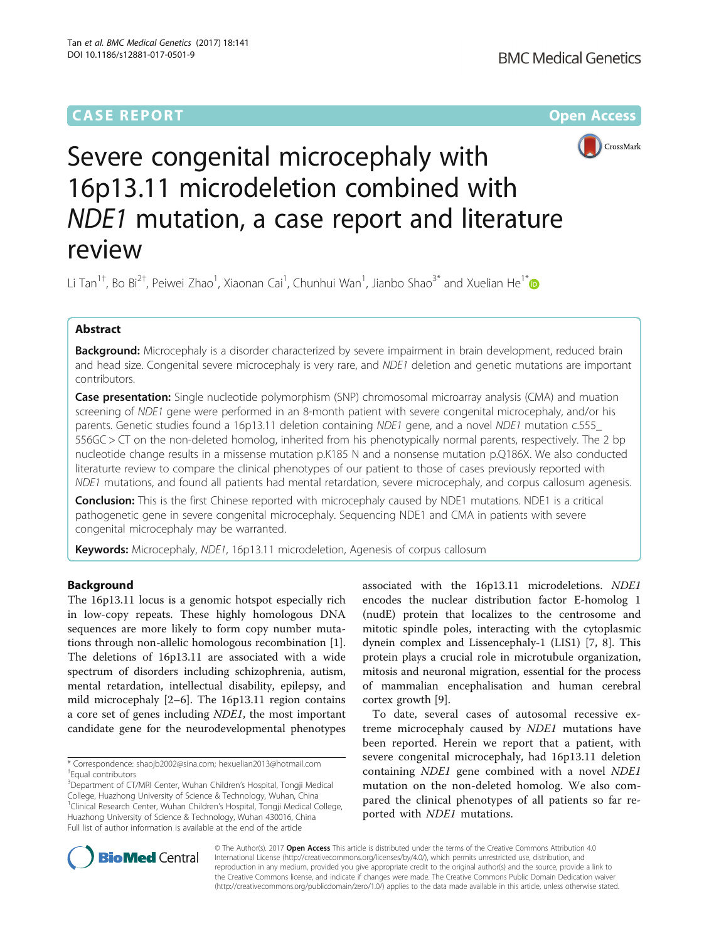## **CASE REPORT CASE ACCESS**



# Severe congenital microcephaly with 16p13.11 microdeletion combined with NDE1 mutation, a case report and literature review

Li Tan<sup>1†</sup>, Bo Bi<sup>2†</sup>, Peiwei Zhao<sup>1</sup>, Xiaonan Cai<sup>1</sup>, Chunhui Wan<sup>1</sup>, Jianbo Shao<sup>3[\\*](http://orcid.org/0000-0002-6275-1219)</sup> and Xuelian He<sup>1\*</sup>

## Abstract

Background: Microcephaly is a disorder characterized by severe impairment in brain development, reduced brain and head size. Congenital severe microcephaly is very rare, and NDE1 deletion and genetic mutations are important contributors.

**Case presentation:** Single nucleotide polymorphism (SNP) chromosomal microarray analysis (CMA) and muation screening of NDE1 gene were performed in an 8-month patient with severe congenital microcephaly, and/or his parents. Genetic studies found a 16p13.11 deletion containing NDE1 gene, and a novel NDE1 mutation c.555 556GC > CT on the non-deleted homolog, inherited from his phenotypically normal parents, respectively. The 2 bp nucleotide change results in a missense mutation p.K185 N and a nonsense mutation p.Q186X. We also conducted literaturte review to compare the clinical phenotypes of our patient to those of cases previously reported with NDE1 mutations, and found all patients had mental retardation, severe microcephaly, and corpus callosum agenesis.

**Conclusion:** This is the first Chinese reported with microcephaly caused by NDE1 mutations. NDE1 is a critical pathogenetic gene in severe congenital microcephaly. Sequencing NDE1 and CMA in patients with severe congenital microcephaly may be warranted.

Keywords: Microcephaly, NDE1, 16p13.11 microdeletion, Agenesis of corpus callosum

## Background

The 16p13.11 locus is a genomic hotspot especially rich in low-copy repeats. These highly homologous DNA sequences are more likely to form copy number mutations through non-allelic homologous recombination [\[1](#page-5-0)]. The deletions of 16p13.11 are associated with a wide spectrum of disorders including schizophrenia, autism, mental retardation, intellectual disability, epilepsy, and mild microcephaly [[2](#page-5-0)–[6\]](#page-5-0). The 16p13.11 region contains a core set of genes including NDE1, the most important candidate gene for the neurodevelopmental phenotypes

\* Correspondence: [shaojb2002@sina.com](mailto:shaojb2002@sina.com); [hexuelian2013@hotmail.com](mailto:hexuelian2013@hotmail.com) † Equal contributors

<sup>3</sup>Department of CT/MRI Center, Wuhan Children's Hospital, Tongji Medical College, Huazhong University of Science & Technology, Wuhan, China <sup>1</sup>Clinical Research Center, Wuhan Children's Hospital, Tongji Medical College, Huazhong University of Science & Technology, Wuhan 430016, China Full list of author information is available at the end of the article

associated with the 16p13.11 microdeletions. NDE1 encodes the nuclear distribution factor E-homolog 1 (nudE) protein that localizes to the centrosome and mitotic spindle poles, interacting with the cytoplasmic dynein complex and Lissencephaly-1 (LIS1) [\[7, 8](#page-5-0)]. This protein plays a crucial role in microtubule organization, mitosis and neuronal migration, essential for the process of mammalian encephalisation and human cerebral cortex growth [\[9](#page-5-0)].

To date, several cases of autosomal recessive extreme microcephaly caused by NDE1 mutations have been reported. Herein we report that a patient, with severe congenital microcephaly, had 16p13.11 deletion containing NDE1 gene combined with a novel NDE1 mutation on the non-deleted homolog. We also compared the clinical phenotypes of all patients so far reported with NDE1 mutations.



© The Author(s). 2017 **Open Access** This article is distributed under the terms of the Creative Commons Attribution 4.0 International License [\(http://creativecommons.org/licenses/by/4.0/](http://creativecommons.org/licenses/by/4.0/)), which permits unrestricted use, distribution, and reproduction in any medium, provided you give appropriate credit to the original author(s) and the source, provide a link to the Creative Commons license, and indicate if changes were made. The Creative Commons Public Domain Dedication waiver [\(http://creativecommons.org/publicdomain/zero/1.0/](http://creativecommons.org/publicdomain/zero/1.0/)) applies to the data made available in this article, unless otherwise stated.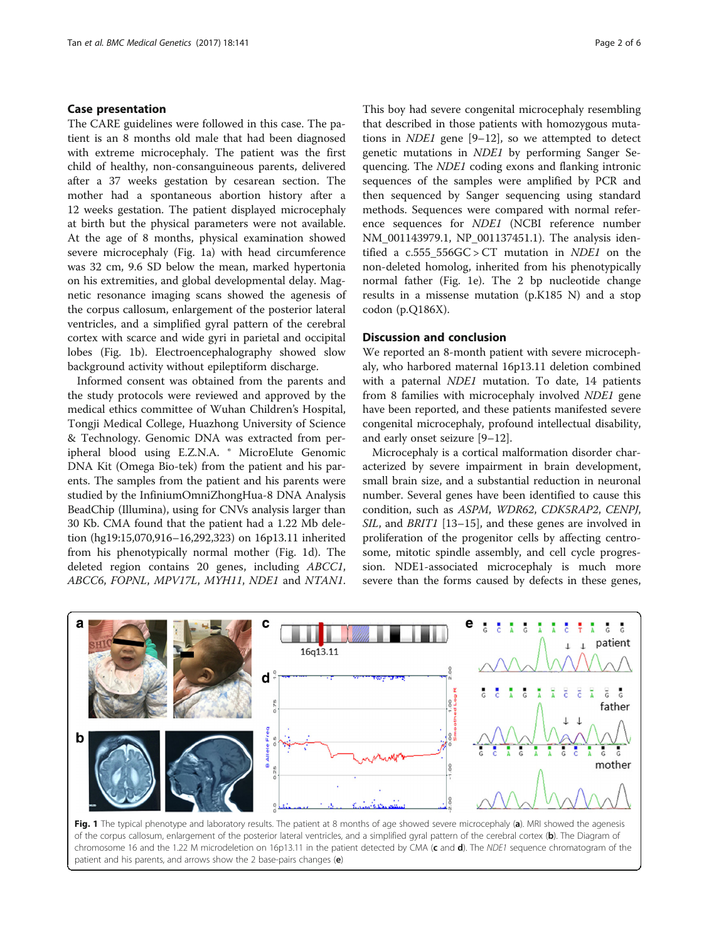## Case presentation

The CARE guidelines were followed in this case. The patient is an 8 months old male that had been diagnosed with extreme microcephaly. The patient was the first child of healthy, non-consanguineous parents, delivered after a 37 weeks gestation by cesarean section. The mother had a spontaneous abortion history after a 12 weeks gestation. The patient displayed microcephaly at birth but the physical parameters were not available. At the age of 8 months, physical examination showed severe microcephaly (Fig. 1a) with head circumference was 32 cm, 9.6 SD below the mean, marked hypertonia on his extremities, and global developmental delay. Magnetic resonance imaging scans showed the agenesis of the corpus callosum, enlargement of the posterior lateral ventricles, and a simplified gyral pattern of the cerebral cortex with scarce and wide gyri in parietal and occipital lobes (Fig. 1b). Electroencephalography showed slow background activity without epileptiform discharge.

Informed consent was obtained from the parents and the study protocols were reviewed and approved by the medical ethics committee of Wuhan Children's Hospital, Tongji Medical College, Huazhong University of Science & Technology. Genomic DNA was extracted from peripheral blood using E.Z.N.A. ® MicroElute Genomic DNA Kit (Omega Bio-tek) from the patient and his parents. The samples from the patient and his parents were studied by the InfiniumOmniZhongHua-8 DNA Analysis BeadChip (Illumina), using for CNVs analysis larger than 30 Kb. CMA found that the patient had a 1.22 Mb deletion (hg19:15,070,916–16,292,323) on 16p13.11 inherited from his phenotypically normal mother (Fig. 1d). The deleted region contains 20 genes, including ABCC1, ABCC6, FOPNL, MPV17L, MYH11, NDE1 and NTAN1.

This boy had severe congenital microcephaly resembling that described in those patients with homozygous mutations in NDE1 gene [[9](#page-5-0)–[12](#page-5-0)], so we attempted to detect genetic mutations in NDE1 by performing Sanger Sequencing. The NDE1 coding exons and flanking intronic sequences of the samples were amplified by PCR and then sequenced by Sanger sequencing using standard methods. Sequences were compared with normal reference sequences for NDE1 (NCBI reference number NM\_001143979.1, NP\_001137451.1). The analysis identified a  $c.555\_556GC > CT$  mutation in *NDE1* on the non-deleted homolog, inherited from his phenotypically normal father (Fig. 1e). The 2 bp nucleotide change results in a missense mutation (p.K185 N) and a stop codon (p.Q186X).

### Discussion and conclusion

We reported an 8-month patient with severe microcephaly, who harbored maternal 16p13.11 deletion combined with a paternal *NDE1* mutation. To date, 14 patients from 8 families with microcephaly involved NDE1 gene have been reported, and these patients manifested severe congenital microcephaly, profound intellectual disability, and early onset seizure [[9](#page-5-0)–[12](#page-5-0)].

Microcephaly is a cortical malformation disorder characterized by severe impairment in brain development, small brain size, and a substantial reduction in neuronal number. Several genes have been identified to cause this condition, such as ASPM, WDR62, CDK5RAP2, CENPJ, SIL, and BRIT1 [[13](#page-5-0)–[15](#page-5-0)], and these genes are involved in proliferation of the progenitor cells by affecting centrosome, mitotic spindle assembly, and cell cycle progression. NDE1-associated microcephaly is much more severe than the forms caused by defects in these genes,



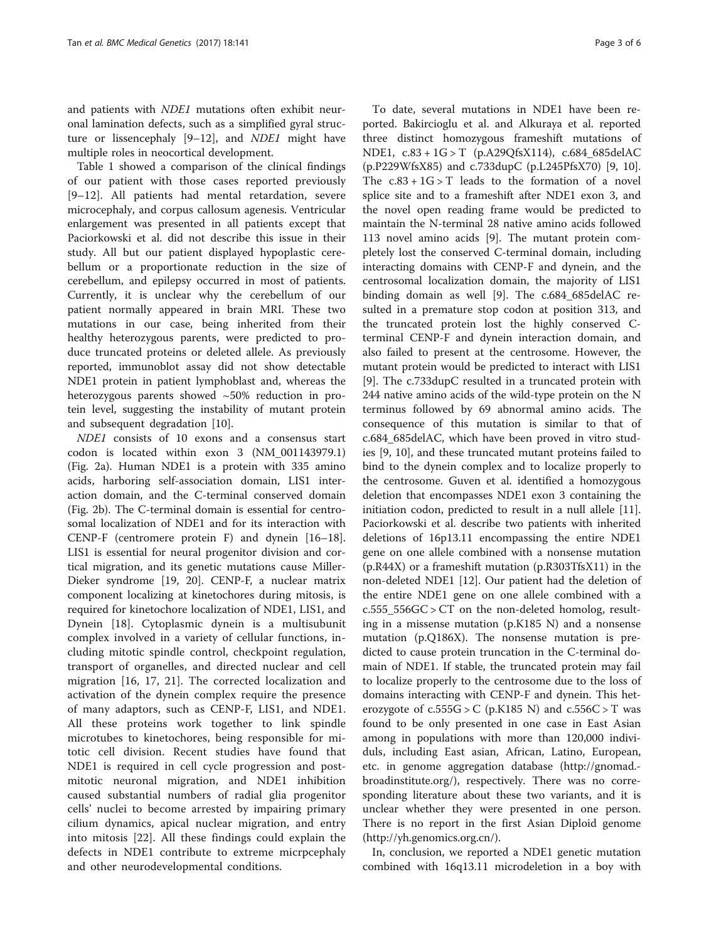and patients with NDE1 mutations often exhibit neuronal lamination defects, such as a simplified gyral structure or lissencephaly [\[9](#page-5-0)–[12\]](#page-5-0), and NDE1 might have multiple roles in neocortical development.

Table [1](#page-3-0) showed a comparison of the clinical findings of our patient with those cases reported previously [[9](#page-5-0)–[12\]](#page-5-0). All patients had mental retardation, severe microcephaly, and corpus callosum agenesis. Ventricular enlargement was presented in all patients except that Paciorkowski et al. did not describe this issue in their study. All but our patient displayed hypoplastic cerebellum or a proportionate reduction in the size of cerebellum, and epilepsy occurred in most of patients. Currently, it is unclear why the cerebellum of our patient normally appeared in brain MRI. These two mutations in our case, being inherited from their healthy heterozygous parents, were predicted to produce truncated proteins or deleted allele. As previously reported, immunoblot assay did not show detectable NDE1 protein in patient lymphoblast and, whereas the heterozygous parents showed ~50% reduction in protein level, suggesting the instability of mutant protein and subsequent degradation [\[10\]](#page-5-0).

NDE1 consists of 10 exons and a consensus start codon is located within exon 3 (NM\_001143979.1) (Fig. [2a\)](#page-4-0). Human NDE1 is a protein with 335 amino acids, harboring self-association domain, LIS1 interaction domain, and the C-terminal conserved domain (Fig. [2b\)](#page-4-0). The C-terminal domain is essential for centrosomal localization of NDE1 and for its interaction with CENP-F (centromere protein F) and dynein [[16](#page-5-0)–[18](#page-5-0)]. LIS1 is essential for neural progenitor division and cortical migration, and its genetic mutations cause Miller-Dieker syndrome [[19](#page-5-0), [20](#page-5-0)]. CENP-F, a nuclear matrix component localizing at kinetochores during mitosis, is required for kinetochore localization of NDE1, LIS1, and Dynein [[18\]](#page-5-0). Cytoplasmic dynein is a multisubunit complex involved in a variety of cellular functions, including mitotic spindle control, checkpoint regulation, transport of organelles, and directed nuclear and cell migration [[16](#page-5-0), [17, 21](#page-5-0)]. The corrected localization and activation of the dynein complex require the presence of many adaptors, such as CENP-F, LIS1, and NDE1. All these proteins work together to link spindle microtubes to kinetochores, being responsible for mitotic cell division. Recent studies have found that NDE1 is required in cell cycle progression and postmitotic neuronal migration, and NDE1 inhibition caused substantial numbers of radial glia progenitor cells' nuclei to become arrested by impairing primary cilium dynamics, apical nuclear migration, and entry into mitosis [\[22](#page-5-0)]. All these findings could explain the defects in NDE1 contribute to extreme micrpcephaly and other neurodevelopmental conditions.

To date, several mutations in NDE1 have been reported. Bakircioglu et al. and Alkuraya et al. reported three distinct homozygous frameshift mutations of NDE1, c.83 + 1G > T (p.A29QfsX114), c.684\_685delAC (p.P229WfsX85) and c.733dupC (p.L245PfsX70) [\[9](#page-5-0), [10](#page-5-0)]. The  $c.83 + 1G > T$  leads to the formation of a novel splice site and to a frameshift after NDE1 exon 3, and the novel open reading frame would be predicted to maintain the N-terminal 28 native amino acids followed 113 novel amino acids [\[9](#page-5-0)]. The mutant protein completely lost the conserved C-terminal domain, including interacting domains with CENP-F and dynein, and the centrosomal localization domain, the majority of LIS1 binding domain as well [\[9\]](#page-5-0). The c.684\_685delAC resulted in a premature stop codon at position 313, and the truncated protein lost the highly conserved Cterminal CENP-F and dynein interaction domain, and also failed to present at the centrosome. However, the mutant protein would be predicted to interact with LIS1 [[9\]](#page-5-0). The c.733dupC resulted in a truncated protein with 244 native amino acids of the wild-type protein on the N terminus followed by 69 abnormal amino acids. The consequence of this mutation is similar to that of c.684\_685delAC, which have been proved in vitro studies [[9, 10\]](#page-5-0), and these truncated mutant proteins failed to bind to the dynein complex and to localize properly to the centrosome. Guven et al. identified a homozygous deletion that encompasses NDE1 exon 3 containing the initiation codon, predicted to result in a null allele [\[11](#page-5-0)]. Paciorkowski et al. describe two patients with inherited deletions of 16p13.11 encompassing the entire NDE1 gene on one allele combined with a nonsense mutation (p.R44X) or a frameshift mutation (p.R303TfsX11) in the non-deleted NDE1 [[12\]](#page-5-0). Our patient had the deletion of the entire NDE1 gene on one allele combined with a c.555\_556GC > CT on the non-deleted homolog, resulting in a missense mutation (p.K185 N) and a nonsense mutation (p.Q186X). The nonsense mutation is predicted to cause protein truncation in the C-terminal domain of NDE1. If stable, the truncated protein may fail to localize properly to the centrosome due to the loss of domains interacting with CENP-F and dynein. This heterozygote of  $c.555G > C$  (p.K185 N) and  $c.556C > T$  was found to be only presented in one case in East Asian among in populations with more than 120,000 individuls, including East asian, African, Latino, European, etc. in genome aggregation database ([http://gnomad.](http://gnomad.broadinstitute.org/) [broadinstitute.org/](http://gnomad.broadinstitute.org/)), respectively. There was no corresponding literature about these two variants, and it is unclear whether they were presented in one person. There is no report in the first Asian Diploid genome (<http://yh.genomics.org.cn>/).

In, conclusion, we reported a NDE1 genetic mutation combined with 16q13.11 microdeletion in a boy with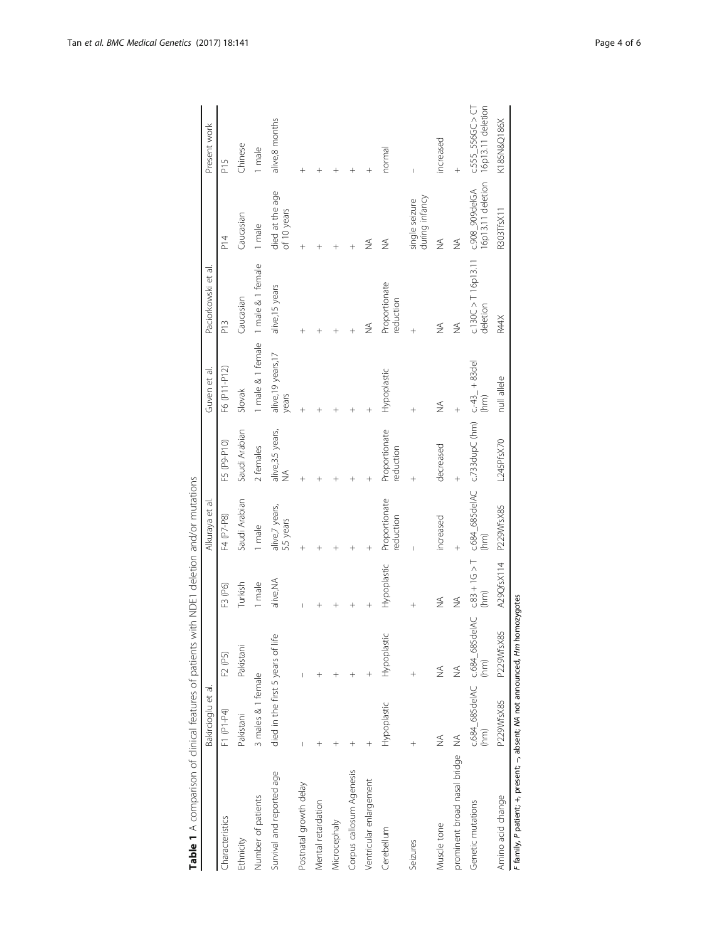<span id="page-3-0"></span>

| Table 1 A comparison of clinical features of patients with NDE1 deletion and/or mutations |                                   |                                      |                         |                             |                                                     |                            |                                     |                                     |                                         |
|-------------------------------------------------------------------------------------------|-----------------------------------|--------------------------------------|-------------------------|-----------------------------|-----------------------------------------------------|----------------------------|-------------------------------------|-------------------------------------|-----------------------------------------|
|                                                                                           | Bakircioglu et al.                |                                      |                         | Alkuraya et al.             |                                                     | Guven et al.               | Paciorkowski et al.                 |                                     | Present work                            |
| Characteristics                                                                           | F1 (P1-P4)                        | F2 (P5)                              | F3 (P6)                 | F4 (P7-P8)                  | F5 (P9-P10)                                         | F6 (P11-P12)               | P13                                 | $^{14}$                             | P <sub>15</sub>                         |
| Ethnicity                                                                                 | Pakistani                         | Pakistani                            | Turkish                 | Saudi Arabian               | Saudi Arabian                                       | Slovak                     | Caucasian                           | Caucasian                           | Chinese                                 |
| Number of patients                                                                        | 3 males & 1 female                |                                      | 1 male                  | 1 male                      | 2 females                                           |                            | 1 male & 1 female 1 male & 1 female | 1 male                              | 1 male                                  |
| Survival and reported age                                                                 | died in the first 5 years of life |                                      | alive, NA               | alive,7 years,<br>5.5 years | alive, 3.5 years,<br>NA                             | alive,19 years,17<br>years | alive, 15 years                     | died at the age<br>of 10 years      | alive,8 months                          |
| Postnatal growth delay                                                                    |                                   |                                      |                         |                             |                                                     |                            |                                     |                                     |                                         |
| Mental retardation                                                                        |                                   |                                      |                         |                             |                                                     |                            |                                     |                                     |                                         |
| Microcephaly                                                                              |                                   |                                      |                         |                             |                                                     |                            |                                     |                                     |                                         |
| Corpus callosum Agenesis                                                                  | $\,{}^{+}\,$                      |                                      |                         |                             |                                                     |                            |                                     |                                     |                                         |
| Ventricular enlargement                                                                   | $^{+}$                            |                                      |                         |                             |                                                     |                            | ≸                                   | $\frac{1}{2}$                       | $\hspace{0.1mm} +\hspace{0.1mm}$        |
| Cerebellum                                                                                | Hypoplastic                       | Hypoplastic                          | Hypoplastic             | Proportionate<br>reduction  | Proportionate<br>eduction                           | Hypoplastic                | Proportionate<br>reduction          | $\frac{4}{2}$                       | normal                                  |
| Seizures                                                                                  |                                   |                                      |                         |                             |                                                     |                            |                                     | during infancy<br>single seizure    |                                         |
| Muscle tone                                                                               | ₹                                 | $\not\leq$                           | $\not\leq$              | increased                   | decreased                                           | ₹                          | ₹                                   | $\frac{1}{2}$                       | increased                               |
| prominent broad nasal bridge                                                              | ⋚                                 | ₹                                    | $\frac{4}{2}$           |                             |                                                     |                            | ₹                                   | $\frac{1}{2}$                       |                                         |
| Genetic mutations                                                                         | (mn)                              | c.684_685delAC c.684_685delAC<br>(m) | $C.83 + 1G > T$<br>(hm) |                             | c.684_685delA.C c.733dupC (hm) c.-43_+83del<br>(hm) |                            | $c.130C > T 16p13.11$<br>deletion   | 16p13.11 deletion<br>c.908_909delGA | 16p13.11 deletion<br>$C.555$ 556GC > CT |
| Amino acid change                                                                         | P229WfsX85                        | P229WfsX85                           | A29QfsX114              | P229WfsX85                  | L245PfsX70                                          | null allele                | R44X                                | R303TfsX11                          | K185N&Q186X                             |
| F family, P patient; +, present; -, absent; NA not announced, Hm homozygotes              |                                   |                                      |                         |                             |                                                     |                            |                                     |                                     |                                         |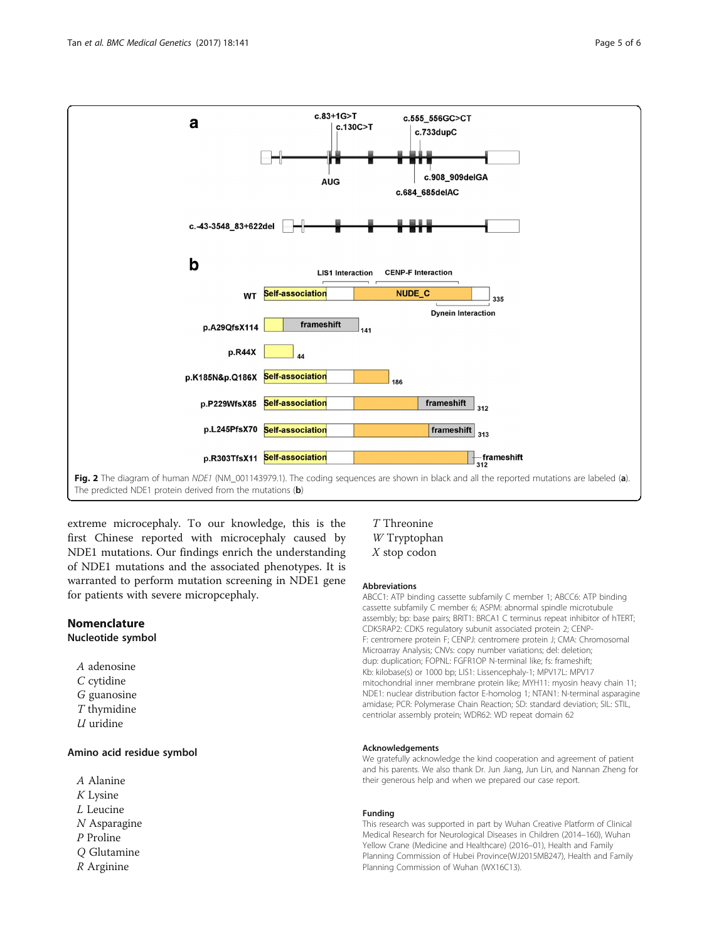<span id="page-4-0"></span>

The predicted NDE1 protein derived from the mutations  $(b)$ 

extreme microcephaly. To our knowledge, this is the first Chinese reported with microcephaly caused by NDE1 mutations. Our findings enrich the understanding of NDE1 mutations and the associated phenotypes. It is warranted to perform mutation screening in NDE1 gene for patients with severe micropcephaly.

## Nomenclature

## Nucleotide symbol

A adenosine C cytidine G guanosine T thymidine  $U$  uridine

## Amino acid residue symbol

A Alanine K Lysine L Leucine N Asparagine P Proline Q Glutamine R Arginine

## T Threonine W Tryptophan X stop codon

#### Abbreviations

ABCC1: ATP binding cassette subfamily C member 1; ABCC6: ATP binding cassette subfamily C member 6; ASPM: abnormal spindle microtubule assembly; bp: base pairs; BRIT1: BRCA1 C terminus repeat inhibitor of hTERT; CDK5RAP2: CDK5 regulatory subunit associated protein 2; CENP-F: centromere protein F; CENPJ: centromere protein J; CMA: Chromosomal Microarray Analysis; CNVs: copy number variations; del: deletion; dup: duplication; FOPNL: FGFR1OP N-terminal like; fs: frameshift; Kb: kilobase(s) or 1000 bp; LIS1: Lissencephaly-1; MPV17L: MPV17 mitochondrial inner membrane protein like; MYH11: myosin heavy chain 11; NDE1: nuclear distribution factor E-homolog 1; NTAN1: N-terminal asparagine amidase; PCR: Polymerase Chain Reaction; SD: standard deviation; SIL: STIL, centriolar assembly protein; WDR62: WD repeat domain 62

#### Acknowledgements

We gratefully acknowledge the kind cooperation and agreement of patient and his parents. We also thank Dr. Jun Jiang, Jun Lin, and Nannan Zheng for their generous help and when we prepared our case report.

#### Funding

This research was supported in part by Wuhan Creative Platform of Clinical Medical Research for Neurological Diseases in Children (2014–160), Wuhan Yellow Crane (Medicine and Healthcare) (2016–01), Health and Family Planning Commission of Hubei Province(WJ2015MB247), Health and Family Planning Commission of Wuhan (WX16C13).